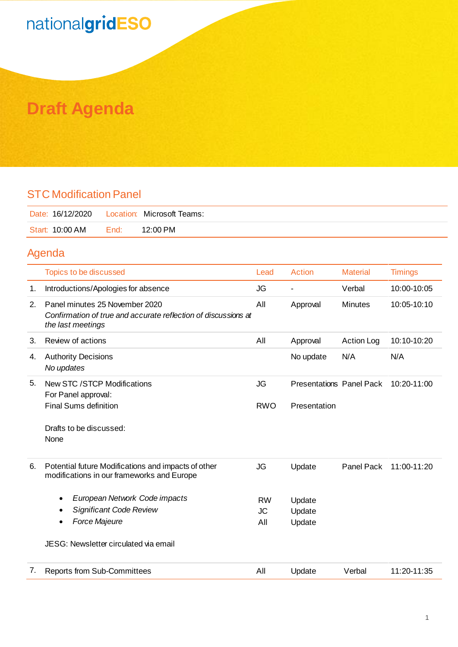## nationalgridESO

### **Draft Agenda**

#### STC Modification Panel

| Date: 16/12/2020    Location: Microsoft Teams: |      |          |
|------------------------------------------------|------|----------|
| Start: 10:00 AM                                | End: | 12:00 PM |

#### Agenda

|    | Topics to be discussed                                                                                                | Lead       | <b>Action</b>                   | <b>Material</b>   | <b>Timings</b> |
|----|-----------------------------------------------------------------------------------------------------------------------|------------|---------------------------------|-------------------|----------------|
| 1. | Introductions/Apologies for absence                                                                                   | <b>JG</b>  | $\blacksquare$                  | Verbal            | 10:00-10:05    |
| 2. | Panel minutes 25 November 2020<br>Confirmation of true and accurate reflection of discussions at<br>the last meetings | All        | Approval                        | <b>Minutes</b>    | 10:05-10:10    |
| 3. | Review of actions                                                                                                     | All        | Approval                        | <b>Action Log</b> | 10:10-10:20    |
| 4. | <b>Authority Decisions</b><br>No updates                                                                              |            | No update                       | N/A               | N/A            |
| 5. | New STC / STCP Modifications<br>For Panel approval:                                                                   | <b>JG</b>  | <b>Presentations Panel Pack</b> |                   | 10:20-11:00    |
|    | <b>Final Sums definition</b>                                                                                          | <b>RWO</b> | Presentation                    |                   |                |
|    | Drafts to be discussed:<br>None                                                                                       |            |                                 |                   |                |
| 6. | Potential future Modifications and impacts of other<br>modifications in our frameworks and Europe                     | <b>JG</b>  | Update                          | Panel Pack        | 11:00-11:20    |
|    | European Network Code impacts<br>٠                                                                                    | <b>RW</b>  | Update                          |                   |                |
|    | <b>Significant Code Review</b>                                                                                        | <b>JC</b>  | Update                          |                   |                |
|    | Force Majeure<br>٠                                                                                                    | All        | Update                          |                   |                |
|    | JESG: Newsletter circulated via email                                                                                 |            |                                 |                   |                |
| 7. | <b>Reports from Sub-Committees</b>                                                                                    | All        | Update                          | Verbal            | 11:20-11:35    |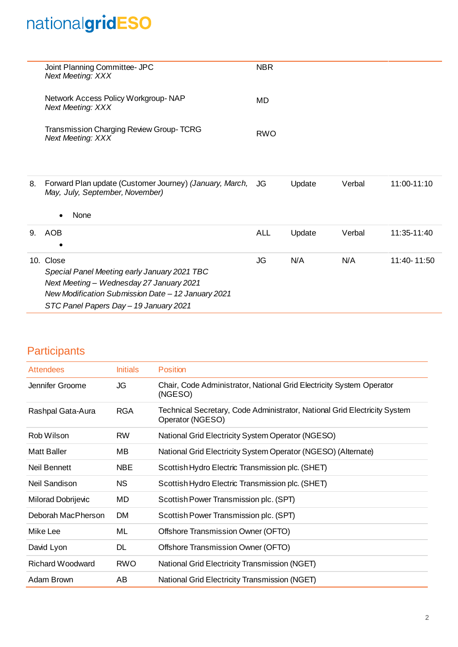# nationalgridESO

|    | Joint Planning Committee- JPC<br><b>Next Meeting: XXX</b>                                                                                                                                             | <b>NBR</b> |        |        |             |
|----|-------------------------------------------------------------------------------------------------------------------------------------------------------------------------------------------------------|------------|--------|--------|-------------|
|    | Network Access Policy Workgroup-NAP<br><b>Next Meeting: XXX</b>                                                                                                                                       | <b>MD</b>  |        |        |             |
|    | <b>Transmission Charging Review Group-TCRG</b><br><b>Next Meeting: XXX</b>                                                                                                                            | <b>RWO</b> |        |        |             |
| 8. | Forward Plan update (Customer Journey) (January, March, JG<br>May, July, September, November)<br>None                                                                                                 |            | Update | Verbal | 11:00-11:10 |
| 9. | AOB                                                                                                                                                                                                   | <b>ALL</b> | Update | Verbal | 11:35-11:40 |
|    | 10. Close<br>Special Panel Meeting early January 2021 TBC<br>Next Meeting - Wednesday 27 January 2021<br>New Modification Submission Date - 12 January 2021<br>STC Panel Papers Day - 19 January 2021 | JG         | N/A    | N/A    | 11:40-11:50 |

#### **Participants**

| <b>Attendees</b>        | <b>Initials</b> | <b>Position</b>                                                                               |
|-------------------------|-----------------|-----------------------------------------------------------------------------------------------|
| Jennifer Groome         | JG              | Chair, Code Administrator, National Grid Electricity System Operator<br>(NGESO)               |
| Rashpal Gata-Aura       | <b>RGA</b>      | Technical Secretary, Code Administrator, National Grid Electricity System<br>Operator (NGESO) |
| Rob Wilson              | <b>RW</b>       | National Grid Electricity System Operator (NGESO)                                             |
| <b>Matt Baller</b>      | MВ              | National Grid Electricity System Operator (NGESO) (Alternate)                                 |
| Neil Bennett            | <b>NBE</b>      | Scottish Hydro Electric Transmission plc. (SHET)                                              |
| Neil Sandison           | <b>NS</b>       | Scottish Hydro Electric Transmission plc. (SHET)                                              |
| Milorad Dobrijevic      | MD              | Scottish Power Transmission plc. (SPT)                                                        |
| Deborah MacPherson      | <b>DM</b>       | Scottish Power Transmission plc. (SPT)                                                        |
| Mike Lee                | ML              | Offshore Transmission Owner (OFTO)                                                            |
| David Lyon              | DL              | Offshore Transmission Owner (OFTO)                                                            |
| <b>Richard Woodward</b> | <b>RWO</b>      | National Grid Electricity Transmission (NGET)                                                 |
| Adam Brown              | AB              | National Grid Electricity Transmission (NGET)                                                 |